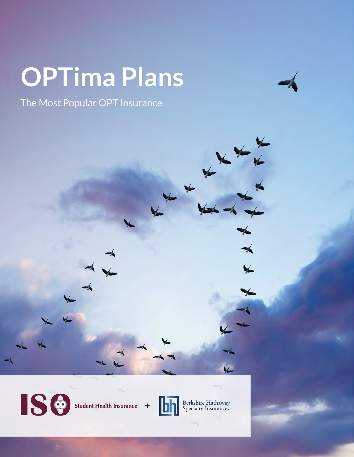# **OPTima Plans**

The Most Popular OPT Insurance

**ISC** 

**Student Health Insurance**  $\ddagger$ 



Berkshire Hathaway<br>Specialty Insurance.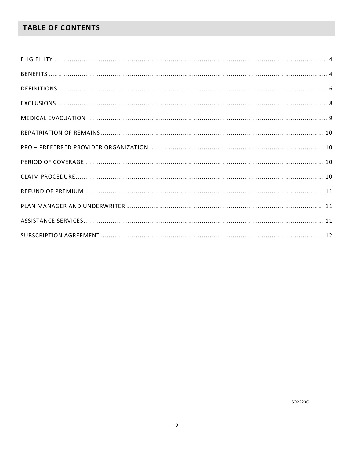# **TABLE OF CONTENTS**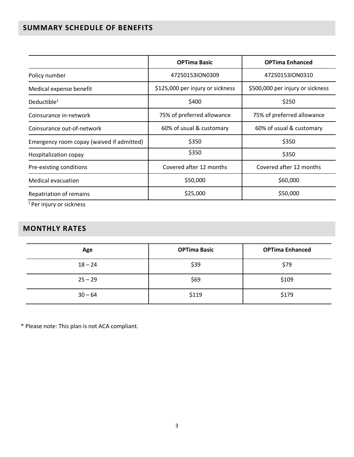# **SUMMARY SCHEDULE OF BENEFITS**

|                                           | <b>OPTima Basic</b>              | <b>OPTima Enhanced</b>           |
|-------------------------------------------|----------------------------------|----------------------------------|
| Policy number                             | 472501531ON0309                  | 47250153ION0310                  |
| Medical expense benefit                   | \$125,000 per injury or sickness | \$500,000 per injury or sickness |
| Deductible $1$                            | \$400                            | \$250                            |
| Coinsurance in-network                    | 75% of preferred allowance       | 75% of preferred allowance       |
| Coinsurance out-of-network                | 60% of usual & customary         | 60% of usual & customary         |
| Emergency room copay (waived if admitted) | \$350                            | \$350                            |
| Hospitalization copay                     | \$350                            | \$350                            |
| Pre-existing conditions                   | Covered after 12 months          | Covered after 12 months          |
| <b>Medical evacuation</b>                 | \$50,000                         | \$60,000                         |
| Repatriation of remains                   | \$25,000                         | \$50,000                         |
|                                           |                                  |                                  |

<sup>1</sup> Per injury or sickness

# **MONTHLY RATES**

| Age       | <b>OPTima Basic</b> | <b>OPTima Enhanced</b> |
|-----------|---------------------|------------------------|
| $18 - 24$ | \$39                | \$79                   |
| $25 - 29$ | \$69                | \$109                  |
| $30 - 64$ | \$119               | \$179                  |

\* Please note: This plan is not ACA compliant.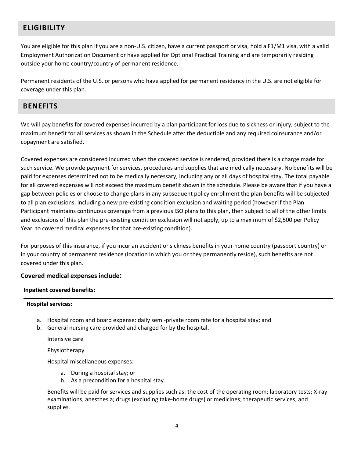## <span id="page-3-0"></span>**ELIGIBILITY**

You are eligible for this plan if you are a non-U.S. citizen, have a current passport or visa, hold a F1/M1 visa, with a valid Employment Authorization Document or have applied for Optional Practical Training and are temporarily residing outside your home country/country of permanent residence.

Permanent residents of the U.S. or persons who have applied for permanent residency in the U.S. are not eligible for coverage under this plan.

## <span id="page-3-1"></span>**BENEFITS**

We will pay benefits for covered expenses incurred by a plan participant for loss due to sickness or injury, subject to the maximum benefit for all services as shown in the Schedule after the deductible and any required coinsurance and/or copayment are satisfied.

Covered expenses are considered incurred when the covered service is rendered, provided there is a charge made for such service. We provide payment for services, procedures and supplies that are medically necessary. No benefits will be paid for expenses determined not to be medically necessary, including any or all days of hospital stay. The total payable for all covered expenses will not exceed the maximum benefit shown in the schedule. Please be aware that if you have a gap between policies or choose to change plans in any subsequent policy enrollment the plan benefits will be subjected to all plan exclusions, including a new pre-existing condition exclusion and waiting period (however if the Plan Participant maintains continuous coverage from a previous ISO plans to this plan, then subject to all of the other limits and exclusions of this plan the pre-existing condition exclusion will not apply, up to a maximum of \$2,500 per Policy Year, to covered medical expenses for that pre-existing condition).

For purposes of this insurance, if you incur an accident or sickness benefits in your home country (passport country) or in your country of permanent residence (location in which you or they permanently reside), such benefits are not covered under this plan.

#### **Covered medical expenses include:**

#### **Inpatient covered benefits:**

#### **Hospital services:**

- a. Hospital room and board expense: daily semi-private room rate for a hospital stay; and
- b. General nursing care provided and charged for by the hospital.

Intensive care

Physiotherapy

Hospital miscellaneous expenses:

- a. During a hospital stay; or
- b. As a precondition for a hospital stay.

Benefits will be paid for services and supplies such as: the cost of the operating room; laboratory tests; X-ray examinations; anesthesia; drugs (excluding take-home drugs) or medicines; therapeutic services; and supplies.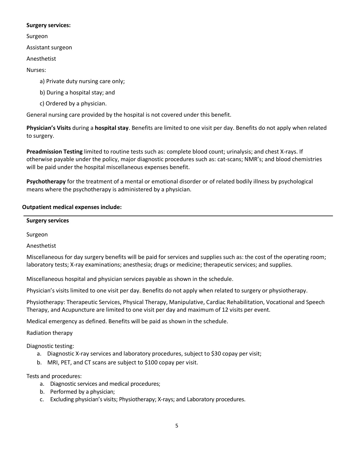#### **Surgery services:**

Surgeon

Assistant surgeon

Anesthetist

Nurses:

a) Private duty nursing care only;

b) During a hospital stay; and

c) Ordered by a physician.

General nursing care provided by the hospital is not covered under this benefit.

**Physician's Visits** during a **hospital stay**. Benefits are limited to one visit per day. Benefits do not apply when related to surgery.

**Preadmission Testing** limited to routine tests such as: complete blood count; urinalysis; and chest X-rays. If otherwise payable under the policy, major diagnostic procedures such as: cat-scans; NMR's; and blood chemistries will be paid under the hospital miscellaneous expenses benefit.

**Psychotherapy** for the treatment of a mental or emotional disorder or of related bodily illness by psychological means where the psychotherapy is administered by a physician.

## **Outpatient medical expenses include:**

**Surgery services**

Surgeon

Anesthetist

Miscellaneous for day surgery benefits will be paid for services and supplies such as: the cost of the operating room; laboratory tests; X-ray examinations; anesthesia; drugs or medicine; therapeutic services; and supplies.

Miscellaneous hospital and physician services payable as shown in the schedule.

Physician's visits limited to one visit per day. Benefits do not apply when related to surgery or physiotherapy.

Physiotherapy: Therapeutic Services, Physical Therapy, Manipulative, Cardiac Rehabilitation, Vocational and Speech Therapy, and Acupuncture are limited to one visit per day and maximum of 12 visits per event.

Medical emergency as defined. Benefits will be paid as shown in the schedule.

#### Radiation therapy

Diagnostic testing:

- a. Diagnostic X-ray services and laboratory procedures, subject to \$30 copay per visit;
- b. MRI, PET, and CT scans are subject to \$100 copay per visit.

Tests and procedures:

- a. Diagnostic services and medical procedures;
- b. Performed by a physician;
- c. Excluding physician's visits; Physiotherapy; X-rays; and Laboratory procedures.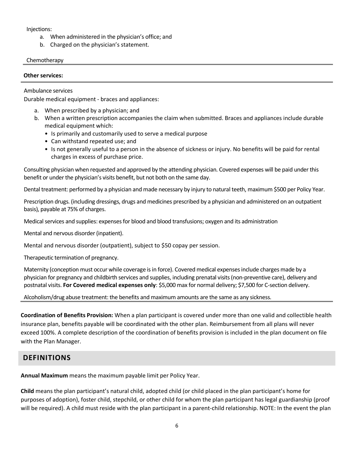#### Injections:

- a. When administered in the physician's office; and
- b. Charged on the physician's statement.

#### Chemotherapy

#### **Other services:**

Ambulance services

Durable medical equipment - braces and appliances:

- a. When prescribed by a physician; and
- b. When a written prescription accompanies the claim when submitted. Braces and appliances include durable medical equipment which:
	- Is primarily and customarily used to serve a medical purpose
	- Can withstand repeated use; and
	- Is not generally useful to a person in the absence of sickness or injury. No benefits will be paid for rental charges in excess of purchase price.

Consulting physician when requested and approved by the attending physician. Covered expenses will be paid under this benefit or under the physician's visits benefit, but not both on the same day.

Dental treatment: performed by a physician and made necessary by injury to natural teeth, maximum \$500 per Policy Year.

Prescription drugs. (including dressings, drugs and medicines prescribed by a physician and administered on an outpatient basis), payable at 75% of charges.

Medical services and supplies: expenses for blood and blood transfusions; oxygen and its administration

Mental and nervous disorder (inpatient).

Mental and nervous disorder (outpatient), subject to \$50 copay per session.

Therapeutic termination of pregnancy.

Maternity (conception must occur while coverage is in force). Covered medical expenses include charges made by a physician for pregnancy and childbirth services and supplies, including prenatal visits (non-preventive care), delivery and postnatal visits. **For Covered medical expenses only**: \$5,000 max for normal delivery; \$7,500 for C-section delivery.

Alcoholism/drug abuse treatment: the benefits and maximum amounts are the same as any sickness.

**Coordination of Benefits Provision:** When a plan participant is covered under more than one valid and collectible health insurance plan, benefits payable will be coordinated with the other plan. Reimbursement from all plans will never exceed 100%. A complete description of the coordination of benefits provision is included in the plan document on file with the Plan Manager.

## <span id="page-5-0"></span>**DEFINITIONS**

**Annual Maximum** means the maximum payable limit per Policy Year.

**Child** means the plan participant's natural child, adopted child (or child placed in the plan participant's home for purposes of adoption), foster child, stepchild, or other child for whom the plan participant has legal guardianship (proof will be required). A child must reside with the plan participant in a parent-child relationship. NOTE: In the event the plan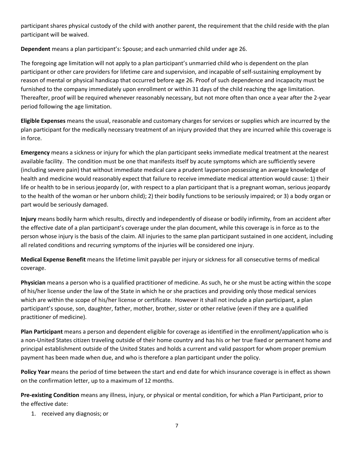participant shares physical custody of the child with another parent, the requirement that the child reside with the plan participant will be waived.

**Dependent** means a plan participant's: Spouse; and each unmarried child under age 26.

The foregoing age limitation will not apply to a plan participant's unmarried child who is dependent on the plan participant or other care providers for lifetime care and supervision, and incapable of self-sustaining employment by reason of mental or physical handicap that occurred before age 26. Proof of such dependence and incapacity must be furnished to the company immediately upon enrollment or within 31 days of the child reaching the age limitation. Thereafter, proof will be required whenever reasonably necessary, but not more often than once a year after the 2-year period following the age limitation.

**Eligible Expenses** means the usual, reasonable and customary charges for services or supplies which are incurred by the plan participant for the medically necessary treatment of an injury provided that they are incurred while this coverage is in force.

**Emergency** means a sickness or injury for which the plan participant seeks immediate medical treatment at the nearest available facility. The condition must be one that manifests itself by acute symptoms which are sufficiently severe (including severe pain) that without immediate medical care a prudent layperson possessing an average knowledge of health and medicine would reasonably expect that failure to receive immediate medical attention would cause: 1) their life or health to be in serious jeopardy (or, with respect to a plan participant that is a pregnant woman, serious jeopardy to the health of the woman or her unborn child); 2) their bodily functions to be seriously impaired; or 3) a body organ or part would be seriously damaged.

**Injury** means bodily harm which results, directly and independently of disease or bodily infirmity, from an accident after the effective date of a plan participant's coverage under the plan document, while this coverage is in force as to the person whose injury is the basis of the claim. All injuries to the same plan participant sustained in one accident, including all related conditions and recurring symptoms of the injuries will be considered one injury.

**Medical Expense Benefit** means the lifetime limit payable per injury or sickness for all consecutive terms of medical coverage.

**Physician** means a person who is a qualified practitioner of medicine. As such, he or she must be acting within the scope of his/her license under the law of the State in which he or she practices and providing only those medical services which are within the scope of his/her license or certificate. However it shall not include a plan participant, a plan participant's spouse, son, daughter, father, mother, brother, sister or other relative (even if they are a qualified practitioner of medicine).

**Plan Participant** means a person and dependent eligible for coverage as identified in the enrollment/application who is a non-United States citizen traveling outside of their home country and has his or her true fixed or permanent home and principal establishment outside of the United States and holds a current and valid passport for whom proper premium payment has been made when due, and who is therefore a plan participant under the policy.

**Policy Year** means the period of time between the start and end date for which insurance coverage is in effect as shown on the confirmation letter, up to a maximum of 12 months.

**Pre-existing Condition** means any illness, injury, or physical or mental condition, for which a Plan Participant, prior to the effective date:

1. received any diagnosis; or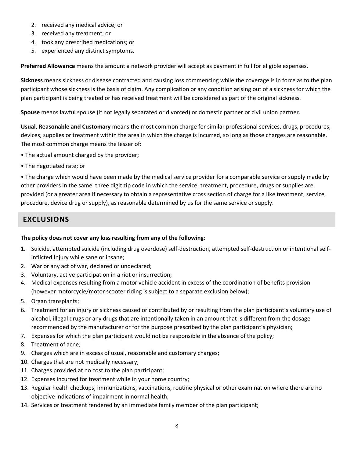- 2. received any medical advice; or
- 3. received any treatment; or
- 4. took any prescribed medications; or
- 5. experienced any distinct symptoms.

**Preferred Allowance** means the amount a network provider will accept as payment in full for eligible expenses.

**Sickness** means sickness or disease contracted and causing loss commencing while the coverage is in force as to the plan participant whose sickness is the basis of claim. Any complication or any condition arising out of a sickness for which the plan participant is being treated or has received treatment will be considered as part of the original sickness.

**Spouse** means lawful spouse (if not legally separated or divorced) or domestic partner or civil union partner.

**Usual, Reasonable and Customary** means the most common charge for similar professional services, drugs, procedures, devices, supplies or treatment within the area in which the charge is incurred, so long as those charges are reasonable. The most common charge means the lesser of:

- The actual amount charged by the provider;
- The negotiated rate; or

• The charge which would have been made by the medical service provider for a comparable service or supply made by other providers in the same three digit zip code in which the service, treatment, procedure, drugs or supplies are provided (or a greater area if necessary to obtain a representative cross section of charge for a like treatment, service, procedure, device drug or supply), as reasonable determined by us for the same service or supply.

## <span id="page-7-0"></span>**EXCLUSIONS**

#### **The policy does not cover any loss resulting from any of the following**:

- 1. Suicide, attempted suicide (including drug overdose) self-destruction, attempted self-destruction or intentional selfinflicted Injury while sane or insane;
- 2. War or any act of war, declared or undeclared;
- 3. Voluntary, active participation in a riot or insurrection;
- 4. Medical expenses resulting from a motor vehicle accident in excess of the coordination of benefits provision (however motorcycle/motor scooter riding is subject to a separate exclusion below);
- 5. Organ transplants;
- 6. Treatment for an injury or sickness caused or contributed by or resulting from the plan participant's voluntary use of alcohol, illegal drugs or any drugs that are intentionally taken in an amount that is different from the dosage recommended by the manufacturer or for the purpose prescribed by the plan participant's physician;
- 7. Expenses for which the plan participant would not be responsible in the absence of the policy;
- 8. Treatment of acne;
- 9. Charges which are in excess of usual, reasonable and customary charges;
- 10. Charges that are not medically necessary;
- 11. Charges provided at no cost to the plan participant;
- 12. Expenses incurred for treatment while in your home country;
- 13. Regular health checkups, immunizations, vaccinations, routine physical or other examination where there are no objective indications of impairment in normal health;
- 14. Services or treatment rendered by an immediate family member of the plan participant;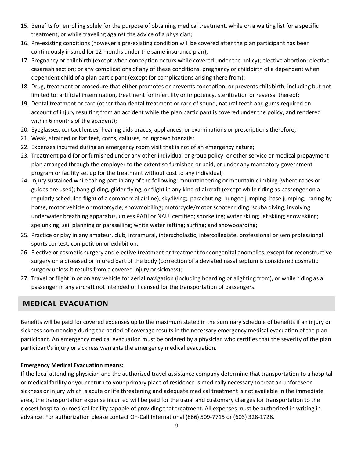- 15. Benefits for enrolling solely for the purpose of obtaining medical treatment, while on a waiting list for a specific treatment, or while traveling against the advice of a physician;
- 16. Pre-existing conditions (however a pre-existing condition will be covered after the plan participant has been continuously insured for 12 months under the same insurance plan);
- 17. Pregnancy or childbirth (except when conception occurs while covered under the policy); elective abortion; elective cesarean section; or any complications of any of these conditions; pregnancy or childbirth of a dependent when dependent child of a plan participant (except for complications arising there from);
- 18. Drug, treatment or procedure that either promotes or prevents conception, or prevents childbirth, including but not limited to: artificial insemination, treatment for infertility or impotency, sterilization or reversal thereof;
- 19. Dental treatment or care (other than dental treatment or care of sound, natural teeth and gums required on account of injury resulting from an accident while the plan participant is covered under the policy, and rendered within 6 months of the accident);
- 20. Eyeglasses, contact lenses, hearing aids braces, appliances, or examinations or prescriptions therefore;
- 21. Weak, strained or flat feet, corns, calluses, or ingrown toenails;
- 22. Expenses incurred during an emergency room visit that is not of an emergency nature;
- 23. Treatment paid for or furnished under any other individual or group policy, or other service or medical prepayment plan arranged through the employer to the extent so furnished or paid, or under any mandatory government program or facility set up for the treatment without cost to any individual;
- 24. Injury sustained while taking part in any of the following: mountaineering or mountain climbing (where ropes or guides are used); hang gliding, glider flying, or flight in any kind of aircraft (except while riding as passenger on a regularly scheduled flight of a commercial airline); skydiving; parachuting; bungee jumping; base jumping; racing by horse, motor vehicle or motorcycle; snowmobiling; motorcycle/motor scooter riding; scuba diving, involving underwater breathing apparatus, unless PADI or NAUI certified; snorkeling; water skiing; jet skiing; snow skiing; spelunking; sail planning or parasailing; white water rafting; surfing; and snowboarding;
- 25. Practice or play in any amateur, club, intramural, interscholastic, intercollegiate, professional or semiprofessional sports contest, competition or exhibition;
- 26. Elective or cosmetic surgery and elective treatment or treatment for congenital anomalies, except for reconstructive surgery on a diseased or injured part of the body (correction of a deviated nasal septum is considered cosmetic surgery unless it results from a covered injury or sickness);
- 27. Travel or flight in or on any vehicle for aerial navigation (including boarding or alighting from), or while riding as a passenger in any aircraft not intended or licensed for the transportation of passengers.

## <span id="page-8-0"></span>**MEDICAL EVACUATION**

Benefits will be paid for covered expenses up to the maximum stated in the summary schedule of benefits if an injury or sickness commencing during the period of coverage results in the necessary emergency medical evacuation of the plan participant. An emergency medical evacuation must be ordered by a physician who certifies that the severity of the plan participant's injury or sickness warrants the emergency medical evacuation.

#### **Emergency Medical Evacuation means:**

If the local attending physician and the authorized travel assistance company determine that transportation to a hospital or medical facility or your return to your primary place of residence is medically necessary to treat an unforeseen sickness or injury which is acute or life threatening and adequate medical treatment is not available in the immediate area, the transportation expense incurred will be paid for the usual and customary charges for transportation to the closest hospital or medical facility capable of providing that treatment. All expenses must be authorized in writing in advance. For authorization please contact On-Call International (866) 509-7715 or (603) 328-1728.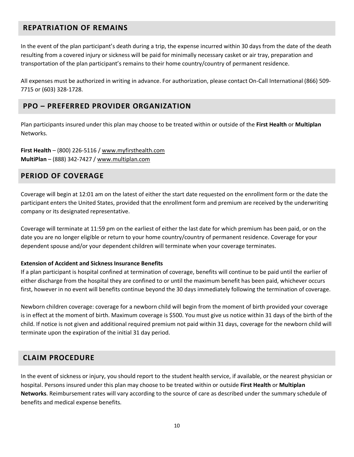## <span id="page-9-0"></span>**REPATRIATION OF REMAINS**

In the event of the plan participant's death during a trip, the expense incurred within 30 days from the date of the death resulting from a covered injury or sickness will be paid for minimally necessary casket or air tray, preparation and transportation of the plan participant's remains to their home country/country of permanent residence.

All expenses must be authorized in writing in advance. For authorization, please contact On-Call International (866) 509- 7715 or (603) 328-1728.

## <span id="page-9-1"></span>**PPO – PREFERRED PROVIDER ORGANIZATION**

Plan participants insured under this plan may choose to be treated within or outside of the **First Health** or **Multiplan** Networks.

**First Health** – (800) 226-5116 / [www.myfirsthealth.com](http://www.myfirsthealth.com/) **MultiPlan** – (888) 342-7427 / [www.multiplan.com](http://www.multiplan.com/)

## <span id="page-9-2"></span>**PERIOD OF COVERAGE**

Coverage will begin at 12:01 am on the latest of either the start date requested on the enrollment form or the date the participant enters the United States, provided that the enrollment form and premium are received by the underwriting company or its designated representative.

Coverage will terminate at 11:59 pm on the earliest of either the last date for which premium has been paid, or on the date you are no longer eligible or return to your home country/country of permanent residence. Coverage for your dependent spouse and/or your dependent children will terminate when your coverage terminates.

#### **Extension of Accident and Sickness Insurance Benefits**

If a plan participant is hospital confined at termination of coverage, benefits will continue to be paid until the earlier of either discharge from the hospital they are confined to or until the maximum benefit has been paid, whichever occurs first, however in no event will benefits continue beyond the 30 days immediately following the termination of coverage.

Newborn children coverage: coverage for a newborn child will begin from the moment of birth provided your coverage is in effect at the moment of birth. Maximum coverage is \$500. You must give us notice within 31 days of the birth of the child. If notice is not given and additional required premium not paid within 31 days, coverage for the newborn child will terminate upon the expiration of the initial 31 day period.

## <span id="page-9-3"></span>**CLAIM PROCEDURE**

In the event of sickness or injury, you should report to the student health service, if available, or the nearest physician or hospital. Persons insured under this plan may choose to be treated within or outside **First Health** or **Multiplan Networks**. Reimbursement rates will vary according to the source of care as described under the summary schedule of benefits and medical expense benefits.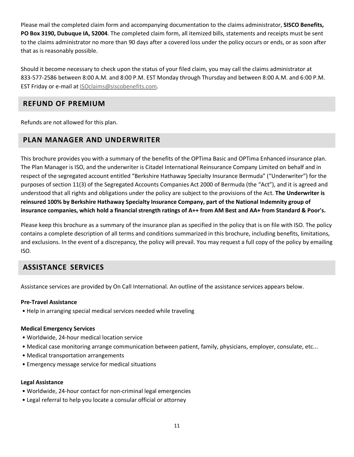Please mail the completed claim form and accompanying documentation to the claims administrator, **SISCO Benefits, PO Box 3190, Dubuque IA, 52004**. The completed claim form, all itemized bills, statements and receipts must be sent to the claims administrator no more than 90 days after a covered loss under the policy occurs or ends, or as soon after that as is reasonably possible.

Should it become necessary to check upon the status of your filed claim, you may call the claims administrator at 833-577-2586 between 8:00 A.M. and 8:00 P.M. EST Monday through Thursday and between 8:00 A.M. and 6:00 P.M. EST Friday or e-mail at ISOclaims@siscobenefits.com.

## <span id="page-10-0"></span>**REFUND OF PREMIUM**

<span id="page-10-1"></span>Refunds are not allowed for this plan.

## **PLAN MANAGER AND UNDERWRITER**

This brochure provides you with a summary of the benefits of the OPTima Basic and OPTima Enhanced insurance plan. The Plan Manager is ISO, and the underwriter is Citadel International Reinsurance Company Limited on behalf and in respect of the segregated account entitled "Berkshire Hathaway Specialty Insurance Bermuda" ("Underwriter") for the purposes of section 11(3) of the Segregated Accounts Companies Act 2000 of Bermuda (the "Act"), and it is agreed and understood that all rights and obligations under the policy are subject to the provisions of the Act. **The Underwriter is reinsured 100% by Berkshire Hathaway Specialty Insurance Company, part of the National Indemnity group of insurance companies, which hold a financial strength ratings of A++ from AM Best and AA+ from Standard & Poor's.**

Please keep this brochure as a summary of the insurance plan as specified in the policy that is on file with ISO. The policy contains a complete description of all terms and conditions summarized in this brochure, including benefits, limitations, and exclusions. In the event of a discrepancy, the policy will prevail. You may request a full copy of the policy by emailing ISO.

## <span id="page-10-2"></span>**ASSISTANCE SERVICES**

Assistance services are provided by On Call International. An outline of the assistance services appears below.

## **Pre-Travel Assistance**

• Help in arranging special medical services needed while traveling

## **Medical Emergency Services**

- Worldwide, 24-hour medical location service
- Medical case monitoring arrange communication between patient, family, physicians, employer, consulate, etc...
- Medical transportation arrangements
- Emergency message service for medical situations

#### **Legal Assistance**

- Worldwide, 24-hour contact for non-criminal legal emergencies
- Legal referral to help you locate a consular official or attorney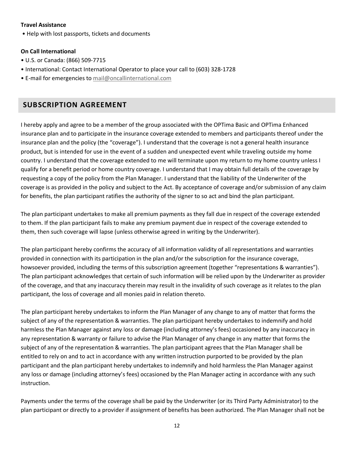#### **Travel Assistance**

• Help with lost passports, tickets and documents

#### **On Call International**

- U.S. or Canada: (866) 509-7715
- International: Contact International Operator to place your call to (603) 328-1728
- E-mail for emergencies to mail@oncallinternational.com

## <span id="page-11-0"></span>**SUBSCRIPTION AGREEMENT**

I hereby apply and agree to be a member of the group associated with the OPTima Basic and OPTima Enhanced insurance plan and to participate in the insurance coverage extended to members and participants thereof under the insurance plan and the policy (the "coverage"). I understand that the coverage is not a general health insurance product, but is intended for use in the event of a sudden and unexpected event while traveling outside my home country. I understand that the coverage extended to me will terminate upon my return to my home country unless I qualify for a benefit period or home country coverage. I understand that I may obtain full details of the coverage by requesting a copy of the policy from the Plan Manager. I understand that the liability of the Underwriter of the coverage is as provided in the policy and subject to the Act. By acceptance of coverage and/or submission of any claim for benefits, the plan participant ratifies the authority of the signer to so act and bind the plan participant.

The plan participant undertakes to make all premium payments as they fall due in respect of the coverage extended to them. If the plan participant fails to make any premium payment due in respect of the coverage extended to them, then such coverage will lapse (unless otherwise agreed in writing by the Underwriter).

The plan participant hereby confirms the accuracy of all information validity of all representations and warranties provided in connection with its participation in the plan and/or the subscription for the insurance coverage, howsoever provided, including the terms of this subscription agreement (together "representations & warranties"). The plan participant acknowledges that certain of such information will be relied upon by the Underwriter as provider of the coverage, and that any inaccuracy therein may result in the invalidity of such coverage as it relates to the plan participant, the loss of coverage and all monies paid in relation thereto.

The plan participant hereby undertakes to inform the Plan Manager of any change to any of matter that forms the subject of any of the representation & warranties. The plan participant hereby undertakes to indemnify and hold harmless the Plan Manager against any loss or damage (including attorney's fees) occasioned by any inaccuracy in any representation & warranty or failure to advise the Plan Manager of any change in any matter that forms the subject of any of the representation & warranties. The plan participant agrees that the Plan Manager shall be entitled to rely on and to act in accordance with any written instruction purported to be provided by the plan participant and the plan participant hereby undertakes to indemnify and hold harmless the Plan Manager against any loss or damage (including attorney's fees) occasioned by the Plan Manager acting in accordance with any such instruction.

Payments under the terms of the coverage shall be paid by the Underwriter (or its Third Party Administrator) to the plan participant or directly to a provider if assignment of benefits has been authorized. The Plan Manager shall not be